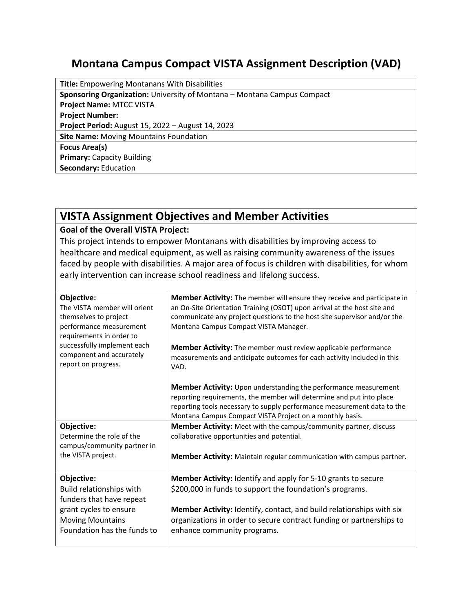## **Montana Campus Compact VISTA Assignment Description (VAD)**

| <b>Title:</b> Empowering Montanans With Disabilities                    |  |  |
|-------------------------------------------------------------------------|--|--|
| Sponsoring Organization: University of Montana - Montana Campus Compact |  |  |
| <b>Project Name: MTCC VISTA</b>                                         |  |  |
| <b>Project Number:</b>                                                  |  |  |
| Project Period: August 15, 2022 - August 14, 2023                       |  |  |
| <b>Site Name: Moving Mountains Foundation</b>                           |  |  |
| <b>Focus Area(s)</b>                                                    |  |  |
| <b>Primary: Capacity Building</b>                                       |  |  |
| <b>Secondary: Education</b>                                             |  |  |

## **VISTA Assignment Objectives and Member Activities**

## **Goal of the Overall VISTA Project:**

This project intends to empower Montanans with disabilities by improving access to healthcare and medical equipment, as well as raising community awareness of the issues faced by people with disabilities. A major area of focus is children with disabilities, for whom early intervention can increase school readiness and lifelong success.

| Objective:<br>The VISTA member will orient<br>themselves to project<br>performance measurement<br>requirements in order to<br>successfully implement each | <b>Member Activity:</b> The member will ensure they receive and participate in<br>an On-Site Orientation Training (OSOT) upon arrival at the host site and<br>communicate any project questions to the host site supervisor and/or the<br>Montana Campus Compact VISTA Manager.<br><b>Member Activity:</b> The member must review applicable performance |
|-----------------------------------------------------------------------------------------------------------------------------------------------------------|----------------------------------------------------------------------------------------------------------------------------------------------------------------------------------------------------------------------------------------------------------------------------------------------------------------------------------------------------------|
| component and accurately<br>report on progress.                                                                                                           | measurements and anticipate outcomes for each activity included in this<br>VAD.                                                                                                                                                                                                                                                                          |
|                                                                                                                                                           | Member Activity: Upon understanding the performance measurement<br>reporting requirements, the member will determine and put into place<br>reporting tools necessary to supply performance measurement data to the<br>Montana Campus Compact VISTA Project on a monthly basis.                                                                           |
| Objective:                                                                                                                                                | Member Activity: Meet with the campus/community partner, discuss                                                                                                                                                                                                                                                                                         |
| Determine the role of the<br>campus/community partner in                                                                                                  | collaborative opportunities and potential.                                                                                                                                                                                                                                                                                                               |
| the VISTA project.                                                                                                                                        | Member Activity: Maintain regular communication with campus partner.                                                                                                                                                                                                                                                                                     |
| Objective:                                                                                                                                                | Member Activity: Identify and apply for 5-10 grants to secure                                                                                                                                                                                                                                                                                            |
| Build relationships with                                                                                                                                  | \$200,000 in funds to support the foundation's programs.                                                                                                                                                                                                                                                                                                 |
| funders that have repeat                                                                                                                                  |                                                                                                                                                                                                                                                                                                                                                          |
| grant cycles to ensure                                                                                                                                    | Member Activity: Identify, contact, and build relationships with six                                                                                                                                                                                                                                                                                     |
| <b>Moving Mountains</b><br>Foundation has the funds to                                                                                                    | organizations in order to secure contract funding or partnerships to<br>enhance community programs.                                                                                                                                                                                                                                                      |
|                                                                                                                                                           |                                                                                                                                                                                                                                                                                                                                                          |